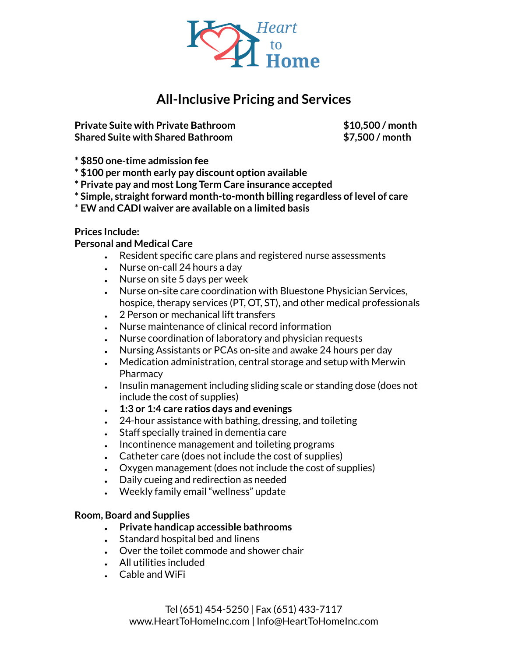

# **All-Inclusive Pricing and Services**

**Private Suite with Private Bathroom \$10,500 / month Shared Suite with Shared Bathroom \$7,500 / month**

**\* \$850 one-time admission fee**

- **\* \$100 per month early pay discount option available**
- **\* Private pay and most Long Term Care insurance accepted**
- **\* Simple, straightforward month-to-month billing regardless of level of care**
- \* **EW and CADI waiver are available on a limited basis**

#### **Prices Include:**

#### **Personal and Medical Care**

- Resident specific care plans and registered nurse assessments
- $\cdot$  Nurse on-call 24 hours a day
- $\cdot$  Nurse on site 5 days per week
- Nurse on-site care coordination with Bluestone Physician Services, hospice, therapy services (PT, OT, ST), and other medical professionals
- 2 Person or mechanical lift transfers
- Nurse maintenance of clinical record information
- Nurse coordination of laboratory and physician requests
- Nursing Assistants or PCAs on-site and awake 24 hours per day
- $\cdot$  Medication administration, central storage and setup with Merwin **Pharmacy**
- Insulin management including sliding scale or standing dose (does not include the cost of supplies)
- **● 1:3 or 1:4 care ratios days and evenings**
- $\cdot$  24-hour assistance with bathing, dressing, and toileting
- Staff specially trained in dementia care
- Incontinence management and toileting programs
- $\cdot$  Catheter care (does not include the cost of supplies)
- $\cdot$  Oxygen management (does not include the cost of supplies)
- Daily cueing and redirection as needed
- Weekly family email "wellness" update

#### **Room, Board and Supplies**

- **● Private handicap accessible bathrooms**
- $\cdot$  Standard hospital bed and linens
- $\cdot$  Over the toilet commode and shower chair
- All utilities included
- $\cdot$  Cable and WiFi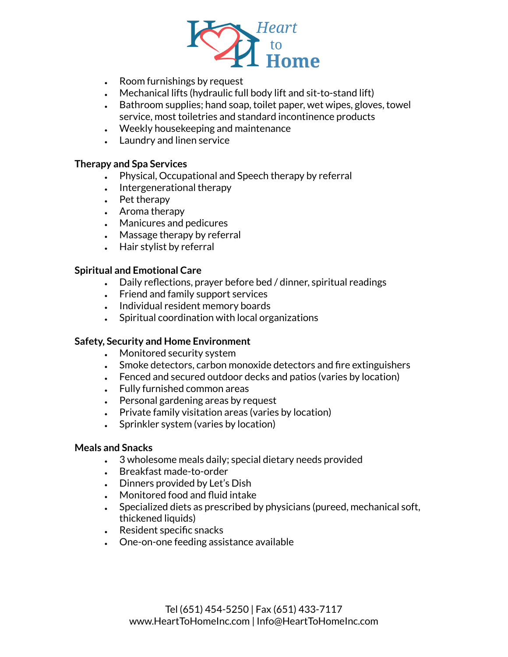

- $\cdot$  Room furnishings by request
- $\bullet$  Mechanical lifts (hydraulic full body lift and sit-to-stand lift)
- Bathroom supplies; hand soap, toilet paper, wet wipes, gloves, towel service, most toiletries and standard incontinence products
- $\cdot$  Weekly housekeeping and maintenance
- Laundry and linen service

#### **Therapy and Spa Services**

- Physical, Occupational and Speech therapy by referral
- $\cdot$  Intergenerational therapy
- $\cdot$  Pet therapy
- $\cdot$  Aroma therapy
- Manicures and pedicures
- $\bullet$  Massage therapy by referral
- $\cdot$  Hair stylist by referral

## **Spiritual and Emotional Care**

- $\bullet$  Daily reflections, prayer before bed / dinner, spiritual readings
- Friend and family support services
- Individual resident memory boards
- $\cdot$  Spiritual coordination with local organizations

## **Safety, Security and Home Environment**

- Monitored security system
- Smoke detectors, carbon monoxide detectors and fire extinguishers
- Fenced and secured outdoor decks and patios (varies by location)
- $\cdot$  Fully furnished common areas
- $\cdot$  Personal gardening areas by request
- Private family visitation areas (varies by location)
- Sprinkler system (varies by location)

## **Meals and Snacks**

- $\cdot$  3 wholesome meals daily; special dietary needs provided
- Breakfast made-to-order
- $\bullet$  Dinners provided by Let's Dish
- Monitored food and fluid intake
- Specialized diets as prescribed by physicians (pureed, mechanical soft, thickened liquids)
- Resident specific snacks
- One-on-one feeding assistance available